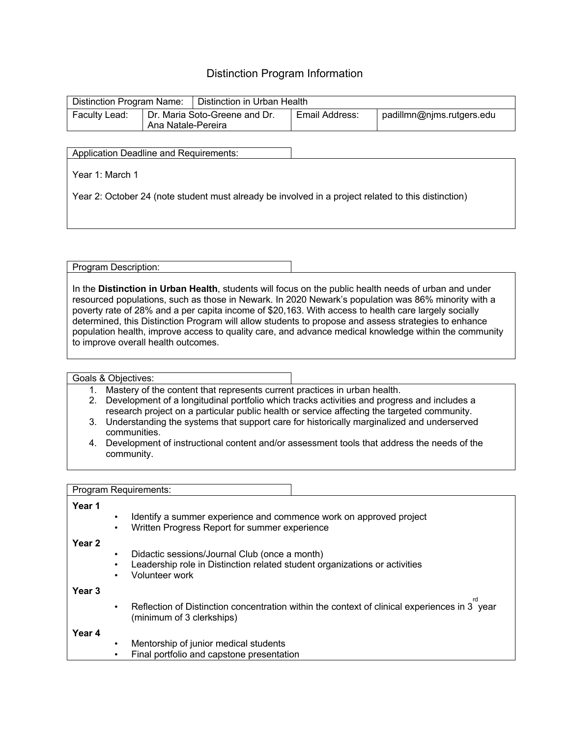## Distinction Program Information

| Distinction Program Name: |                                                     | Distinction in Urban Health |                |                           |  |
|---------------------------|-----------------------------------------------------|-----------------------------|----------------|---------------------------|--|
| Faculty Lead:             | Dr. Maria Soto-Greene and Dr.<br>Ana Natale-Pereira |                             | Email Address: | padillmn@njms.rutgers.edu |  |

Application Deadline and Requirements:

Year 1: March 1

Year 2: October 24 (note student must already be involved in a project related to this distinction)

Program Description:

In the **Distinction in Urban Health**, students will focus on the public health needs of urban and under resourced populations, such as those in Newark. In 2020 Newark's population was 86% minority with a poverty rate of 28% and a per capita income of \$20,163. With access to health care largely socially determined, this Distinction Program will allow students to propose and assess strategies to enhance population health, improve access to quality care, and advance medical knowledge within the community to improve overall health outcomes.

Goals & Objectives:

- 1. Mastery of the content that represents current practices in urban health.
- 2. Development of a longitudinal portfolio which tracks activities and progress and includes a research project on a particular public health or service affecting the targeted community.
- 3. Understanding the systems that support care for historically marginalized and underserved communities.
- 4. Development of instructional content and/or assessment tools that address the needs of the community.

|                   | Program Requirements:                                                                                                                         |  |  |  |
|-------------------|-----------------------------------------------------------------------------------------------------------------------------------------------|--|--|--|
| Year 1            |                                                                                                                                               |  |  |  |
|                   | Identify a summer experience and commence work on approved project<br>Written Progress Report for summer experience                           |  |  |  |
| Year 2            | Didactic sessions/Journal Club (once a month)<br>Leadership role in Distinction related student organizations or activities<br>Volunteer work |  |  |  |
| Year <sub>3</sub> | Reflection of Distinction concentration within the context of clinical experiences in 3 year<br>$\bullet$<br>(minimum of 3 clerkships)        |  |  |  |
| Year 4            | Mentorship of junior medical students<br>$\bullet$<br>Final portfolio and capstone presentation                                               |  |  |  |